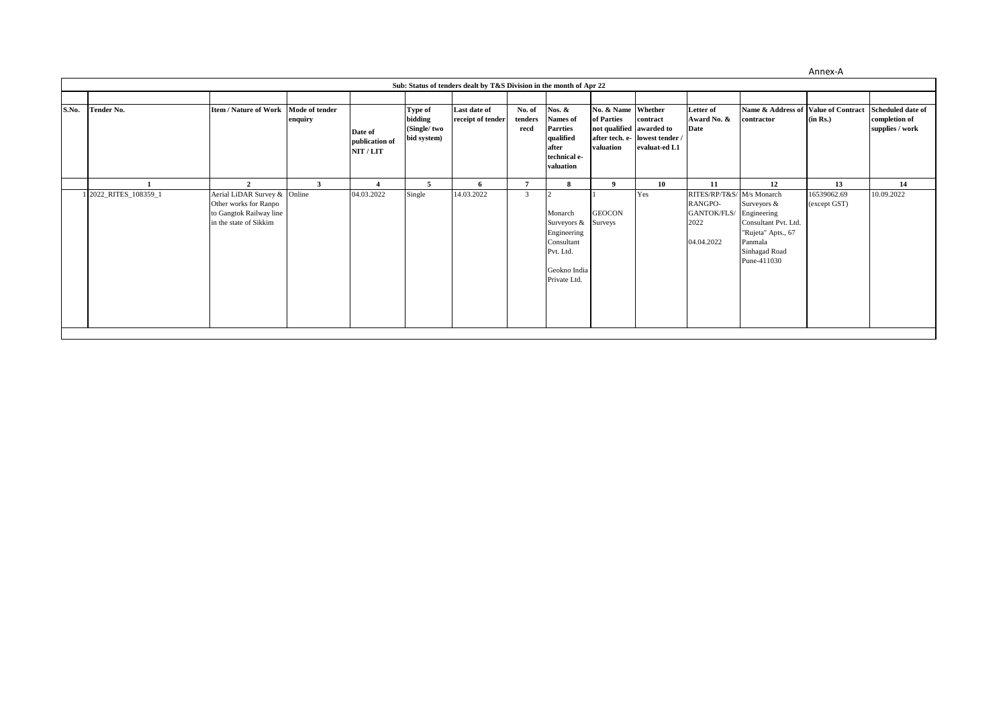Annex-A

|       | Sub: Status of tenders dealt by T&S Division in the month of Apr 22 |                                                                                                                              |                           |                                        |                                                  |                                   |                           |                                                                                                               |                                                                           |                                                             |                                                                                 |                                                                                                                           |                                   |                                                              |
|-------|---------------------------------------------------------------------|------------------------------------------------------------------------------------------------------------------------------|---------------------------|----------------------------------------|--------------------------------------------------|-----------------------------------|---------------------------|---------------------------------------------------------------------------------------------------------------|---------------------------------------------------------------------------|-------------------------------------------------------------|---------------------------------------------------------------------------------|---------------------------------------------------------------------------------------------------------------------------|-----------------------------------|--------------------------------------------------------------|
| S.No. | Tender No.                                                          | <b>Item / Nature of Work</b>                                                                                                 | Mode of tender<br>enquiry | Date of<br>publication of<br>NIT / LIT | Type of<br>bidding<br>(Single/two<br>bid system) | Last date of<br>receipt of tender | No. of<br>tenders<br>recd | Nos. &<br><b>Names</b> of<br><b>Parrties</b><br>qualified<br>after<br>technical e-<br>valuation               | No. & Name Whether<br>of Parties<br>not qualified awarded to<br>valuation | contract<br>after tech. e- lowest tender /<br>evaluat-ed L1 | Letter of<br>Award No. &<br>Date                                                | Name & Address of Value of Contract<br>contractor                                                                         | (in Rs.)                          | <b>Scheduled date of</b><br>completion of<br>supplies / work |
|       | 1 2022_RITES_108359_1                                               | $\overline{2}$<br>Aerial LiDAR Survey & Online<br>Other works for Ranpo<br>to Gangtok Railway line<br>in the state of Sikkim | 3                         | 04.03.2022                             | 5<br>Single                                      | -6<br>14.03.2022                  | 3                         | 8<br>Monarch<br>Surveyors & Surveys<br>Engineering<br>Consultant<br>Pvt. Ltd.<br>Geokno India<br>Private Ltd. | 9<br><b>GEOCON</b>                                                        | 10<br>Yes                                                   | 11<br>RITES/RP/T&S/ M/s Monarch<br>RANGPO-<br>GANTOK/FLS/<br>2022<br>04.04.2022 | 12<br>Surveyors &<br>Engineering<br>Consultant Pvt. Ltd.<br>"Rujeta" Apts., 67<br>Panmala<br>Sinhagad Road<br>Pune-411030 | 13<br>16539062.69<br>(except GST) | 14<br>10.09.2022                                             |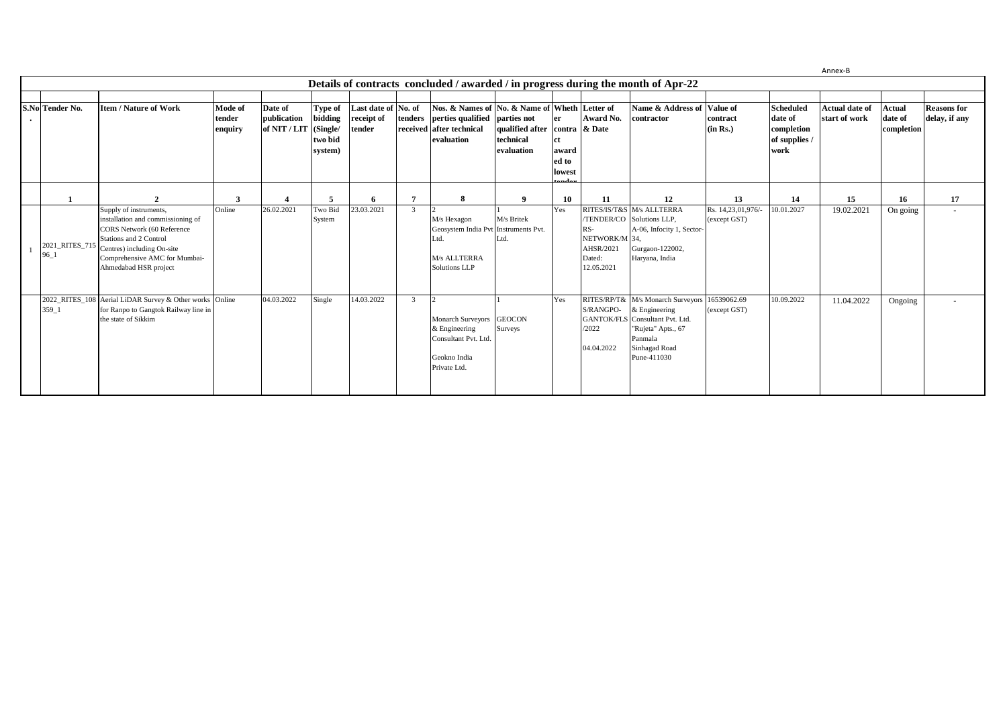Annex-B

| Details of contracts concluded / awarded / in progress during the month of Apr-22 |                                                                                                                                                                                                                                   |                              |                                        |                                                      |                                             |                |                                                                                                                                  |                                                          |                                       |                                                           |                                                                                                                                             |                                    |                                                                    |                                        |                                        |                                     |
|-----------------------------------------------------------------------------------|-----------------------------------------------------------------------------------------------------------------------------------------------------------------------------------------------------------------------------------|------------------------------|----------------------------------------|------------------------------------------------------|---------------------------------------------|----------------|----------------------------------------------------------------------------------------------------------------------------------|----------------------------------------------------------|---------------------------------------|-----------------------------------------------------------|---------------------------------------------------------------------------------------------------------------------------------------------|------------------------------------|--------------------------------------------------------------------|----------------------------------------|----------------------------------------|-------------------------------------|
| S.No Tender No.                                                                   | <b>Item / Nature of Work</b>                                                                                                                                                                                                      | Mode of<br>tender<br>enquiry | Date of<br>publication<br>of NIT / LIT | Type of<br>bidding<br>(Single/<br>two bid<br>system) | Last date of No. of<br>receipt of<br>tender |                | Nos. & Names of No. & Name of Wheth Letter of<br>tenders perties qualified parties not<br>received after technical<br>evaluation | qualified after contra & Date<br>technical<br>evaluation | er<br>ct.<br>award<br>ed to<br>lowest | Award No.                                                 | Name & Address of<br>contractor                                                                                                             | Value of<br>contract<br>(in Rs.)   | <b>Scheduled</b><br>date of<br>completion<br>of supplies /<br>work | <b>Actual date of</b><br>start of work | <b>Actual</b><br>date of<br>completion | <b>Reasons for</b><br>delay, if any |
|                                                                                   |                                                                                                                                                                                                                                   |                              |                                        |                                                      | 6                                           | 7              | 8                                                                                                                                | $\mathbf{o}$                                             | 10                                    | 11                                                        | 12                                                                                                                                          | 13                                 | 14                                                                 | 15                                     | 16                                     | 17                                  |
| 96 1                                                                              | Supply of instruments,<br>installation and commissioning of<br><b>CORS</b> Network (60 Reference<br>Stations and 2 Control<br>2021_RITES_715 Centres) including On-site<br>Comprehensive AMC for Mumbai-<br>Ahmedabad HSR project | Online                       | 26.02.2021                             | Two Bid<br>System                                    | 23.03.2021                                  | $\overline{3}$ | $\mathsf{L}$<br>M/s Hexagon<br>Geosystem India Pvt Instruments Pvt.<br>Ltd.<br>M/s ALLTERRA<br><b>Solutions LLP</b>              | M/s Britek<br>Ltd.                                       | Yes                                   | RS-<br>NETWORK/M 34,<br>AHSR/2021<br>Dated:<br>12.05.2021 | RITES/IS/T&S M/s ALLTERRA<br>TENDER/CO Solutions LLP,<br>A-06, Infocity 1, Sector-<br>Gurgaon-122002,<br>Haryana, India                     | Rs. 14,23,01,976/-<br>(except GST) | 10.01.2027                                                         | 19.02.2021                             | On going                               | $\sim$                              |
| 359 1                                                                             | 2022_RITES_108 Aerial LiDAR Survey & Other works Online<br>for Ranpo to Gangtok Railway line in<br>the state of Sikkim                                                                                                            |                              | 04.03.2022                             | Single                                               | 14.03.2022                                  | $\overline{3}$ | $\overline{2}$<br>Monarch Surveyors GEOCON<br>& Engineering<br>Consultant Pvt. Ltd.<br>Geokno India<br>Private Ltd.              | Surveys                                                  | Yes                                   | S/RANGPO-<br><b>GANTOK/FLS</b><br>/2022<br>04.04.2022     | RITES/RP/T& M/s Monarch Surveyors<br>& Engineering<br>Consultant Pvt. Ltd.<br>"Rujeta" Apts., 67<br>Panmala<br>Sinhagad Road<br>Pune-411030 | 16539062.69<br>(except GST)        | 10.09.2022                                                         | 11.04.2022                             | Ongoing                                |                                     |